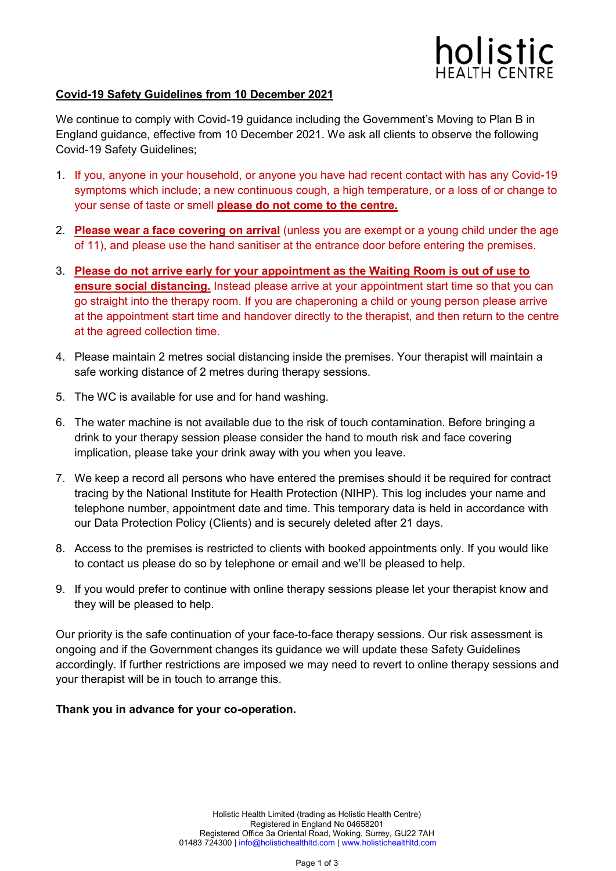

## **Covid-19 Safety Guidelines from 10 December 2021**

We continue to comply with Covid-19 guidance including the Government's Moving to Plan B in England guidance, effective from 10 December 2021. We ask all clients to observe the following Covid-19 Safety Guidelines;

- 1. If you, anyone in your household, or anyone you have had recent contact with has any Covid-19 symptoms which include; a new continuous cough, a high temperature, or a loss of or change to your sense of taste or smell **please do not come to the centre.**
- 2. **Please wear a face covering on arrival** (unless you are exempt or a young child under the age of 11), and please use the hand sanitiser at the entrance door before entering the premises.
- 3. **Please do not arrive early for your appointment as the Waiting Room is out of use to ensure social distancing.** Instead please arrive at your appointment start time so that you can go straight into the therapy room. If you are chaperoning a child or young person please arrive at the appointment start time and handover directly to the therapist, and then return to the centre at the agreed collection time.
- 4. Please maintain 2 metres social distancing inside the premises. Your therapist will maintain a safe working distance of 2 metres during therapy sessions.
- 5. The WC is available for use and for hand washing.
- 6. The water machine is not available due to the risk of touch contamination. Before bringing a drink to your therapy session please consider the hand to mouth risk and face covering implication, please take your drink away with you when you leave.
- 7. We keep a record all persons who have entered the premises should it be required for contract tracing by the National Institute for Health Protection (NIHP). This log includes your name and telephone number, appointment date and time. This temporary data is held in accordance with our Data Protection Policy (Clients) and is securely deleted after 21 days.
- 8. Access to the premises is restricted to clients with booked appointments only. If you would like to contact us please do so by telephone or email and we'll be pleased to help.
- 9. If you would prefer to continue with online therapy sessions please let your therapist know and they will be pleased to help.

Our priority is the safe continuation of your face-to-face therapy sessions. Our risk assessment is ongoing and if the Government changes its guidance we will update these Safety Guidelines accordingly. If further restrictions are imposed we may need to revert to online therapy sessions and your therapist will be in touch to arrange this.

### **Thank you in advance for your co-operation.**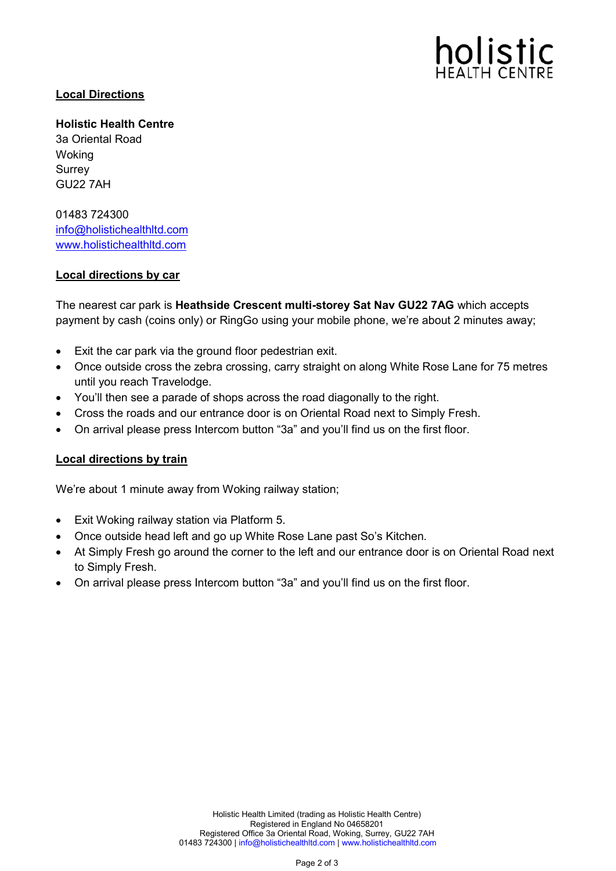

# **Local Directions**

**Holistic Health Centre** 3a Oriental Road Woking Surrey GU22 7AH

01483 724300 [info@holistichealthltd.com](mailto:info@holistichealthltd.com) [www.holistichealthltd.com](http://www.holistichealthltd.com/)

### **Local directions by car**

The nearest car park is **Heathside Crescent multi-storey Sat Nav GU22 7AG** which accepts payment by cash (coins only) or RingGo using your mobile phone, we're about 2 minutes away;

- Exit the car park via the ground floor pedestrian exit.
- Once outside cross the zebra crossing, carry straight on along White Rose Lane for 75 metres until you reach Travelodge.
- You'll then see a parade of shops across the road diagonally to the right.
- Cross the roads and our entrance door is on Oriental Road next to Simply Fresh.
- On arrival please press Intercom button "3a" and you'll find us on the first floor.

### **Local directions by train**

We're about 1 minute away from Woking railway station;

- Exit Woking railway station via Platform 5.
- Once outside head left and go up White Rose Lane past So's Kitchen.
- At Simply Fresh go around the corner to the left and our entrance door is on Oriental Road next to Simply Fresh.
- On arrival please press Intercom button "3a" and you'll find us on the first floor.